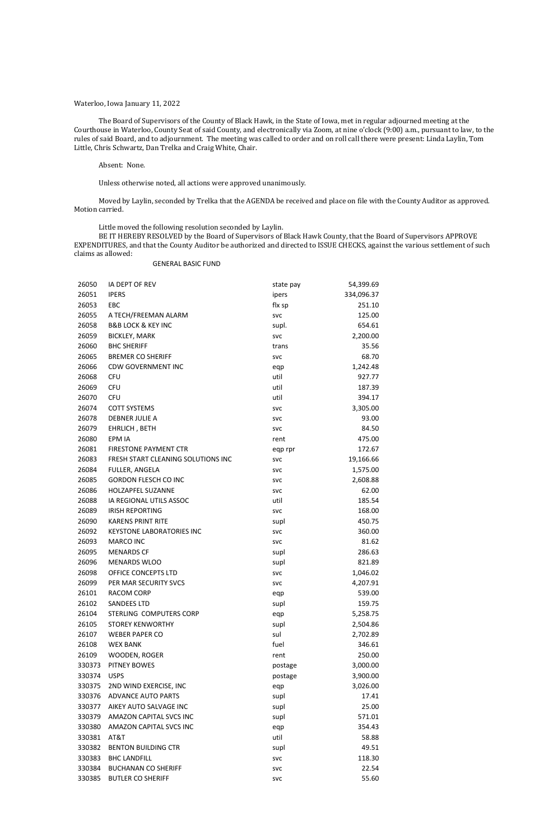### Waterloo, Iowa January 11, 2022

The Board of Supervisors of the County of Black Hawk, in the State of Iowa, met in regular adjourned meeting at the Courthouse in Waterloo, County Seat of said County, and electronically via Zoom, at nine o'clock (9:00) a.m., pursuant to law, to the rules of said Board, and to adjournment. The meeting was called to order and on roll call there were present: Linda Laylin, Tom Little, Chris Schwartz, Dan Trelka and Craig White, Chair.

### Absent: None.

Unless otherwise noted, all actions were approved unanimously.

Moved by Laylin, seconded by Trelka that the AGENDA be received and place on file with the County Auditor as approved. Motion carried.

Little moved the following resolution seconded by Laylin.

BE IT HEREBY RESOLVED by the Board of Supervisors of Black Hawk County, that the Board of Supervisors APPROVE EXPENDITURES, and that the County Auditor be authorized and directed to ISSUE CHECKS, against the various settlement of such claims as allowed:

### GENERAL BASIC FUND

| 26050  | IA DEPT OF REV                     | state pay  | 54,399.69  |
|--------|------------------------------------|------------|------------|
| 26051  | <b>IPERS</b>                       | ipers      | 334,096.37 |
| 26053  | EBC                                | flx sp     | 251.10     |
| 26055  | A TECH/FREEMAN ALARM               | <b>SVC</b> | 125.00     |
| 26058  | <b>B&amp;B LOCK &amp; KEY INC</b>  | supl.      | 654.61     |
| 26059  | <b>BICKLEY, MARK</b>               | <b>SVC</b> | 2,200.00   |
| 26060  | <b>BHC SHERIFF</b>                 | trans      | 35.56      |
| 26065  | <b>BREMER CO SHERIFF</b>           | <b>SVC</b> | 68.70      |
| 26066  | <b>CDW GOVERNMENT INC</b>          | eqp        | 1,242.48   |
| 26068  | <b>CFU</b>                         | util       | 927.77     |
| 26069  | <b>CFU</b>                         | util       | 187.39     |
| 26070  | <b>CFU</b>                         | util       | 394.17     |
| 26074  | <b>COTT SYSTEMS</b>                | <b>SVC</b> | 3,305.00   |
| 26078  | <b>DEBNER JULIE A</b>              | <b>SVC</b> | 93.00      |
| 26079  | EHRLICH, BETH                      | <b>SVC</b> | 84.50      |
| 26080  | <b>EPM IA</b>                      | rent       | 475.00     |
| 26081  | <b>FIRESTONE PAYMENT CTR</b>       | eqp rpr    | 172.67     |
| 26083  | FRESH START CLEANING SOLUTIONS INC | <b>SVC</b> | 19,166.66  |
| 26084  | FULLER, ANGELA                     | <b>SVC</b> | 1,575.00   |
| 26085  | <b>GORDON FLESCH CO INC</b>        | <b>SVC</b> | 2,608.88   |
| 26086  | HOLZAPFEL SUZANNE                  | <b>SVC</b> | 62.00      |
| 26088  | IA REGIONAL UTILS ASSOC            | util       | 185.54     |
| 26089  | <b>IRISH REPORTING</b>             | <b>SVC</b> | 168.00     |
| 26090  | <b>KARENS PRINT RITE</b>           | supl       | 450.75     |
| 26092  | <b>KEYSTONE LABORATORIES INC</b>   | <b>SVC</b> | 360.00     |
| 26093  | <b>MARCO INC</b>                   | <b>SVC</b> | 81.62      |
| 26095  | <b>MENARDS CF</b>                  | supl       | 286.63     |
| 26096  | <b>MENARDS WLOO</b>                | supl       | 821.89     |
| 26098  | OFFICE CONCEPTS LTD                | <b>SVC</b> | 1,046.02   |
| 26099  | PER MAR SECURITY SVCS              | <b>SVC</b> | 4,207.91   |
| 26101  | <b>RACOM CORP</b>                  | eqp        | 539.00     |
| 26102  | <b>SANDEES LTD</b>                 | supl       | 159.75     |
| 26104  | STERLING COMPUTERS CORP            | eqp        | 5,258.75   |
| 26105  | <b>STOREY KENWORTHY</b>            | supl       | 2,504.86   |
| 26107  | <b>WEBER PAPER CO</b>              | sul        | 2,702.89   |
| 26108  | <b>WEX BANK</b>                    | fuel       | 346.61     |
| 26109  | WOODEN, ROGER                      | rent       | 250.00     |
| 330373 | <b>PITNEY BOWES</b>                | postage    | 3,000.00   |
| 330374 | <b>USPS</b>                        | postage    | 3,900.00   |
| 330375 | 2ND WIND EXERCISE, INC             | eqp        | 3,026.00   |
| 330376 | <b>ADVANCE AUTO PARTS</b>          | supl       | 17.41      |
| 330377 | AIKEY AUTO SALVAGE INC             | supl       | 25.00      |
| 330379 | AMAZON CAPITAL SVCS INC            | supl       | 571.01     |
| 330380 | AMAZON CAPITAL SVCS INC            | eqp        | 354.43     |
| 330381 | AT&T                               | util       | 58.88      |
| 330382 | <b>BENTON BUILDING CTR</b>         | supl       | 49.51      |
| 330383 | <b>BHC LANDFILL</b>                | <b>SVC</b> | 118.30     |
| 330384 | <b>BUCHANAN CO SHERIFF</b>         | <b>SVC</b> | 22.54      |
| 330385 | <b>BUTLER CO SHERIFF</b>           | <b>SVC</b> | 55.60      |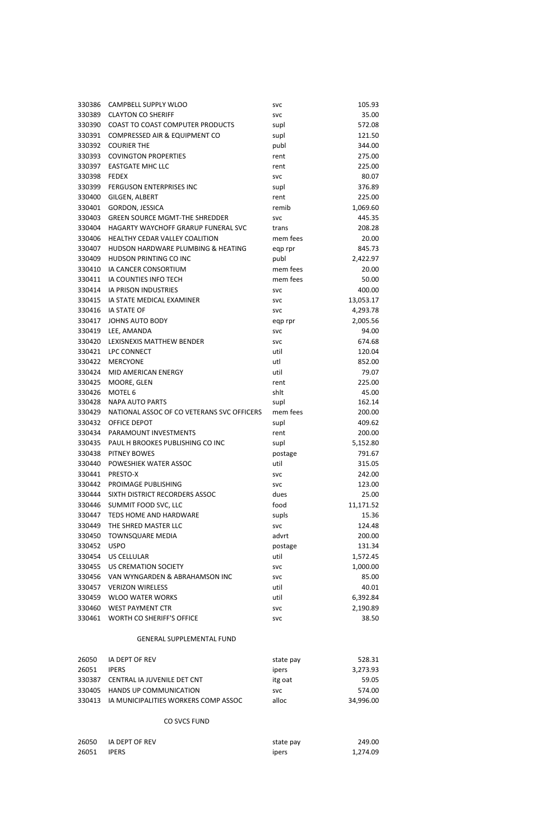| 330386 | CAMPBELL SUPPLY WLOO                       | <b>SVC</b> | 105.93    |
|--------|--------------------------------------------|------------|-----------|
| 330389 | <b>CLAYTON CO SHERIFF</b>                  | <b>SVC</b> | 35.00     |
| 330390 | <b>COAST TO COAST COMPUTER PRODUCTS</b>    | supl       | 572.08    |
| 330391 | COMPRESSED AIR & EQUIPMENT CO              | supl       | 121.50    |
| 330392 | <b>COURIER THE</b>                         | publ       | 344.00    |
| 330393 | <b>COVINGTON PROPERTIES</b>                | rent       | 275.00    |
| 330397 | <b>EASTGATE MHC LLC</b>                    | rent       | 225.00    |
| 330398 | <b>FEDEX</b>                               | <b>SVC</b> | 80.07     |
| 330399 | <b>FERGUSON ENTERPRISES INC</b>            | supl       | 376.89    |
| 330400 | GILGEN, ALBERT                             | rent       | 225.00    |
| 330401 | GORDON, JESSICA                            | remib      | 1,069.60  |
| 330403 | <b>GREEN SOURCE MGMT-THE SHREDDER</b>      | <b>SVC</b> | 445.35    |
| 330404 | HAGARTY WAYCHOFF GRARUP FUNERAL SVC        | trans      | 208.28    |
| 330406 | <b>HEALTHY CEDAR VALLEY COALITION</b>      | mem fees   | 20.00     |
| 330407 | HUDSON HARDWARE PLUMBING & HEATING         | eqp rpr    | 845.73    |
| 330409 | HUDSON PRINTING CO INC                     | publ       | 2,422.97  |
| 330410 | IA CANCER CONSORTIUM                       | mem fees   | 20.00     |
| 330411 | IA COUNTIES INFO TECH                      | mem fees   | 50.00     |
| 330414 | <b>IA PRISON INDUSTRIES</b>                | <b>SVC</b> | 400.00    |
| 330415 | IA STATE MEDICAL EXAMINER                  | <b>SVC</b> | 13,053.17 |
| 330416 | <b>IA STATE OF</b>                         | <b>SVC</b> | 4,293.78  |
| 330417 | <b>JOHNS AUTO BODY</b>                     | eqp rpr    | 2,005.56  |
| 330419 | LEE, AMANDA                                | <b>SVC</b> | 94.00     |
| 330420 | LEXISNEXIS MATTHEW BENDER                  | <b>SVC</b> | 674.68    |
| 330421 | LPC CONNECT                                | util       | 120.04    |
| 330422 | <b>MERCYONE</b>                            | utl        | 852.00    |
| 330424 | MID AMERICAN ENERGY                        | util       | 79.07     |
| 330425 | MOORE, GLEN                                | rent       | 225.00    |
| 330426 | MOTEL <sub>6</sub>                         | shlt       | 45.00     |
| 330428 | NAPA AUTO PARTS                            | supl       | 162.14    |
| 330429 | NATIONAL ASSOC OF CO VETERANS SVC OFFICERS | mem fees   | 200.00    |
| 330432 | <b>OFFICE DEPOT</b>                        | supl       | 409.62    |
| 330434 | PARAMOUNT INVESTMENTS                      | rent       | 200.00    |
| 330435 | PAUL H BROOKES PUBLISHING CO INC           | supl       | 5,152.80  |
| 330438 | PITNEY BOWES                               | postage    | 791.67    |
| 330440 | POWESHIEK WATER ASSOC                      | util       | 315.05    |
| 330441 | PRESTO-X                                   | <b>SVC</b> | 242.00    |
| 330442 | PROIMAGE PUBLISHING                        | <b>SVC</b> | 123.00    |
| 330444 | SIXTH DISTRICT RECORDERS ASSOC             | dues       | 25.00     |
| 330446 | SUMMIT FOOD SVC, LLC                       | food       | 11,171.52 |
| 330447 | TEDS HOME AND HARDWARE                     | supls      | 15.36     |
| 330449 | THE SHRED MASTER LLC                       | <b>SVC</b> | 124.48    |
| 330450 | <b>TOWNSQUARE MEDIA</b>                    | advrt      | 200.00    |
| 330452 | <b>USPO</b>                                | postage    | 131.34    |
| 330454 | <b>US CELLULAR</b>                         | util       | 1,572.45  |
| 330455 | <b>US CREMATION SOCIETY</b>                | <b>SVC</b> | 1,000.00  |
| 330456 | VAN WYNGARDEN & ABRAHAMSON INC             | <b>SVC</b> | 85.00     |
| 330457 | <b>VERIZON WIRELESS</b>                    | util       | 40.01     |
| 330459 | <b>WLOO WATER WORKS</b>                    | util       | 6,392.84  |
| 330460 | <b>WEST PAYMENT CTR</b>                    | <b>SVC</b> | 2,190.89  |
| 330461 | WORTH CO SHERIFF'S OFFICE                  | <b>SVC</b> | 38.50     |

# GENERAL SUPPLEMENTAL FUND

| 26050 | IA DEPT OF REV                              | state pay  | 528.31    |
|-------|---------------------------------------------|------------|-----------|
| 26051 | <b>IPFRS</b>                                | ipers      | 3,273.93  |
|       | 330387 CENTRAL IA JUVENILE DET CNT          | itg oat    | 59.05     |
|       | 330405 HANDS UP COMMUNICATION               | <b>SVC</b> | 574.00    |
|       | 330413 IA MUNICIPALITIES WORKERS COMP ASSOC | alloc      | 34,996.00 |

# CO SVCS FUND

|       | 26050 IA DEPT OF REV | state pay | 249.00   |
|-------|----------------------|-----------|----------|
| 26051 | <b>IPERS</b>         | ipers     | 1,274.09 |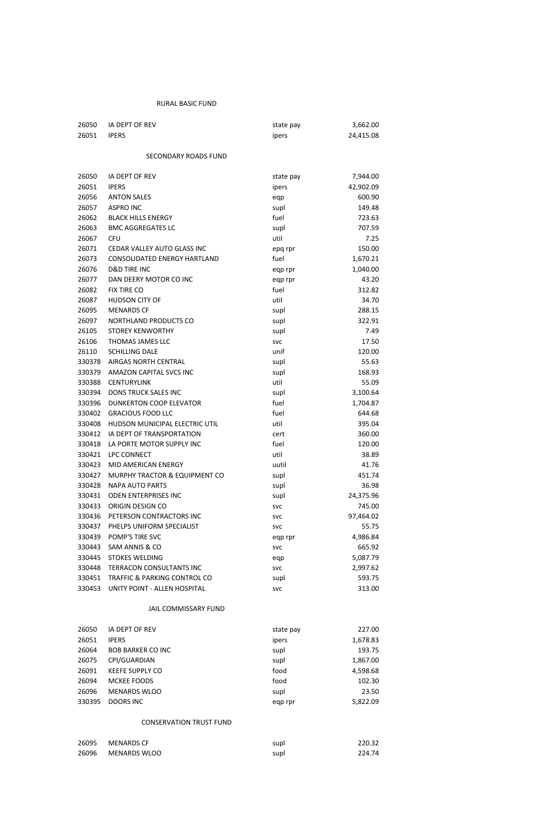### RURAL BASIC FUND

26050 IA DEPT OF REV State pay state pay 3,662.00

| 26051  | <b>IPERS</b>                   | ipers      | 24,415.08 |
|--------|--------------------------------|------------|-----------|
|        | <b>SECONDARY ROADS FUND</b>    |            |           |
| 26050  | IA DEPT OF REV                 | state pay  | 7,944.00  |
| 26051  | <b>IPERS</b>                   | ipers      | 42,902.09 |
| 26056  | <b>ANTON SALES</b>             | eqp        | 600.90    |
| 26057  | <b>ASPRO INC</b>               | supl       | 149.48    |
| 26062  | <b>BLACK HILLS ENERGY</b>      | fuel       | 723.63    |
| 26063  | <b>BMC AGGREGATES LC</b>       | supl       | 707.59    |
| 26067  | <b>CFU</b>                     | util       | 7.25      |
| 26071  | CEDAR VALLEY AUTO GLASS INC    | epq rpr    | 150.00    |
| 26073  | CONSOLIDATED ENERGY HARTLAND   | fuel       | 1,670.21  |
| 26076  | <b>D&amp;D TIRE INC</b>        | eqp rpr    | 1,040.00  |
| 26077  | DAN DEERY MOTOR CO INC         | eqp rpr    | 43.20     |
| 26082  | <b>FIX TIRE CO</b>             | fuel       | 312.82    |
| 26087  | <b>HUDSON CITY OF</b>          | util       | 34.70     |
| 26095  | <b>MENARDS CF</b>              | supl       | 288.15    |
| 26097  | NORTHLAND PRODUCTS CO          | supl       | 322.91    |
| 26105  | <b>STOREY KENWORTHY</b>        | supl       | 7.49      |
| 26106  | THOMAS JAMES LLC               | <b>SVC</b> | 17.50     |
| 26110  | <b>SCHILLING DALE</b>          | unif       | 120.00    |
| 330378 | AIRGAS NORTH CENTRAL           | supl       | 55.63     |
| 330379 | AMAZON CAPITAL SVCS INC        | supl       | 168.93    |
| 330388 | <b>CENTURYLINK</b>             | util       | 55.09     |
| 330394 | <b>DONS TRUCK SALES INC</b>    | supl       | 3,100.64  |
| 330396 | <b>DUNKERTON COOP ELEVATOR</b> | fuel       | 1,704.87  |
| 330402 | <b>GRACIOUS FOOD LLC</b>       | fuel       | 644.68    |
| 330408 | HUDSON MUNICIPAL ELECTRIC UTIL | util       | 395.04    |
| 330412 | IA DEPT OF TRANSPORTATION      | cert       | 360.00    |
| 330418 | LA PORTE MOTOR SUPPLY INC      | fuel       | 120.00    |
| 330421 | <b>LPC CONNECT</b>             | util       | 38.89     |
| 330423 | MID AMERICAN ENERGY            | uutil      | 41.76     |
| 330427 | MURPHY TRACTOR & EQUIPMENT CO  | supl       | 451.74    |
| 330428 | <b>NAPA AUTO PARTS</b>         | supl       | 36.98     |
| 330431 | <b>ODEN ENTERPRISES INC</b>    | supl       | 24,375.96 |
| 330433 | ORIGIN DESIGN CO               | <b>SVC</b> | 745.00    |
| 330436 | PETERSON CONTRACTORS INC       | <b>SVC</b> | 97,464.02 |
| 330437 | PHELPS UNIFORM SPECIALIST      | <b>SVC</b> | 55.75     |
| 330439 | POMP'S TIRE SVC                | eqp rpr    | 4,986.84  |
| 330443 | SAM ANNIS & CO                 | <b>SVC</b> | 665.92    |
| 330445 | <b>STOKES WELDING</b>          | eqp        | 5,087.79  |
| 330448 | TERRACON CONSULTANTS INC       | <b>SVC</b> | 2,997.62  |
| 330451 | TRAFFIC & PARKING CONTROL CO   | supl       | 593.75    |

| 26050  | IA DEPT OF REV           | state pay | 227.00   |
|--------|--------------------------|-----------|----------|
| 26051  | <b>IPERS</b>             | ipers     | 1,678.83 |
| 26064  | <b>BOB BARKER CO INC</b> | supl      | 193.75   |
| 26075  | CPI/GUARDIAN             | supl      | 1,867.00 |
| 26091  | <b>KEEFE SUPPLY CO</b>   | food      | 4,598.68 |
| 26094  | <b>MCKEE FOODS</b>       | food      | 102.30   |
| 26096  | <b>MENARDS WLOO</b>      | supl      | 23.50    |
| 330395 | <b>DOORS INC</b>         | eqp rpr   | 5,822.09 |

330453 UNITY POINT - ALLEN HOSPITAL SVC SVC 313.00

## CONSERVATION TRUST FUND

| 26095 | MENARDS CF   | supl | 220.32 |
|-------|--------------|------|--------|
| 26096 | MENARDS WLOO | supl | 224.74 |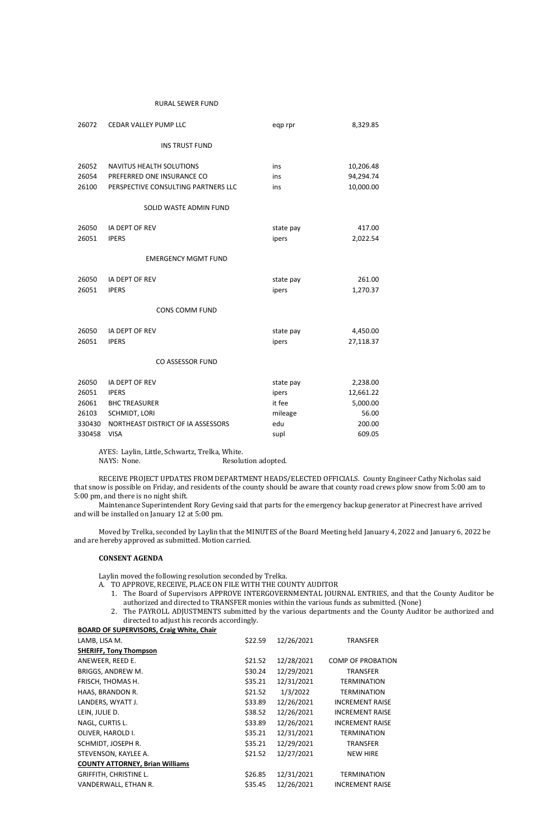#### RURAL SEWER FUND

| 26072  | <b>CEDAR VALLEY PUMP LLC</b>        | eqp rpr   | 8,329.85  |
|--------|-------------------------------------|-----------|-----------|
|        | <b>INS TRUST FUND</b>               |           |           |
| 26052  | NAVITUS HEALTH SOLUTIONS            | ins       | 10,206.48 |
| 26054  | PREFERRED ONE INSURANCE CO          | ins       | 94,294.74 |
| 26100  | PERSPECTIVE CONSULTING PARTNERS LLC | ins       | 10,000.00 |
|        | SOLID WASTE ADMIN FUND              |           |           |
| 26050  | IA DEPT OF REV                      | state pay | 417.00    |
| 26051  | <b>IPERS</b>                        | ipers     | 2,022.54  |
|        | <b>EMERGENCY MGMT FUND</b>          |           |           |
| 26050  | IA DEPT OF REV                      | state pay | 261.00    |
| 26051  | <b>IPERS</b>                        | ipers     | 1,270.37  |
|        | <b>CONS COMM FUND</b>               |           |           |
| 26050  | IA DEPT OF REV                      | state pay | 4,450.00  |
| 26051  | <b>IPERS</b>                        | ipers     | 27,118.37 |
|        | CO ASSESSOR FUND                    |           |           |
|        |                                     |           |           |
| 26050  | IA DEPT OF REV                      | state pay | 2,238.00  |
| 26051  | <b>IPERS</b>                        | ipers     | 12,661.22 |
| 26061  | <b>BHC TREASURER</b>                | it fee    | 5,000.00  |
| 26103  | SCHMIDT, LORI                       | mileage   | 56.00     |
| 330430 | NORTHEAST DISTRICT OF IA ASSESSORS  | edu       | 200.00    |
| 330458 | <b>VISA</b>                         | supl      | 609.05    |

AYES: Laylin, Little, Schwartz, Trelka, White.

NAYS: None. Resolution adopted.

RECEIVE PROJECT UPDATES FROM DEPARTMENT HEADS/ELECTED OFFICIALS. County Engineer Cathy Nicholas said that snow is possible on Friday, and residents of the county should be aware that county road crews plow snow from 5:00 am to 5:00 pm, and there is no night shift.

Maintenance Superintendent Rory Geving said that parts for the emergency backup generator at Pinecrest have arrived and will be installed on January 12 at 5:00 pm.

Moved by Trelka, seconded by Laylin that the MINUTES of the Board Meeting held January 4, 2022 and January 6, 2022 be and are hereby approved as submitted. Motion carried.

### **CONSENT AGENDA**

Laylin moved the following resolution seconded by Trelka.

- A. TO APPROVE, RECEIVE, PLACE ON FILE WITH THE COUNTY AUDITOR
	- 1. The Board of Supervisors APPROVE INTERGOVERNMENTAL JOURNAL ENTRIES, and that the County Auditor be authorized and directed to TRANSFER monies within the various funds as submitted. (None)
	- 2. The PAYROLL ADJUSTMENTS submitted by the various departments and the County Auditor be authorized and

### directed to adjust his records accordingly.

#### **BOARD OF SUPERVISORS, Craig White, Chair**

| LAMB, LISA M.                          | \$22.59 | 12/26/2021 | TRANSFER                 |
|----------------------------------------|---------|------------|--------------------------|
| <b>SHERIFF, Tony Thompson</b>          |         |            |                          |
| ANEWEER, REED E.                       | \$21.52 | 12/28/2021 | <b>COMP OF PROBATION</b> |
| BRIGGS, ANDREW M.                      | \$30.24 | 12/29/2021 | <b>TRANSFER</b>          |
| FRISCH, THOMAS H.                      | \$35.21 | 12/31/2021 | <b>TERMINATION</b>       |
| HAAS, BRANDON R.                       | \$21.52 | 1/3/2022   | <b>TERMINATION</b>       |
| LANDERS, WYATT J.                      | \$33.89 | 12/26/2021 | <b>INCREMENT RAISE</b>   |
| LEIN, JULIE D.                         | \$38.52 | 12/26/2021 | <b>INCREMENT RAISE</b>   |
| NAGL, CURTIS L.                        | \$33.89 | 12/26/2021 | <b>INCREMENT RAISE</b>   |
| OLIVER, HAROLD I.                      | \$35.21 | 12/31/2021 | <b>TERMINATION</b>       |
| SCHMIDT, JOSEPH R.                     | \$35.21 | 12/29/2021 | <b>TRANSFER</b>          |
| STEVENSON, KAYLEE A.                   | \$21.52 | 12/27/2021 | <b>NEW HIRE</b>          |
| <b>COUNTY ATTORNEY, Brian Williams</b> |         |            |                          |
| <b>GRIFFITH, CHRISTINE L.</b>          | \$26.85 | 12/31/2021 | TERMINATION              |
| VANDERWALL, ETHAN R.                   | \$35.45 | 12/26/2021 | <b>INCREMENT RAISE</b>   |
|                                        |         |            |                          |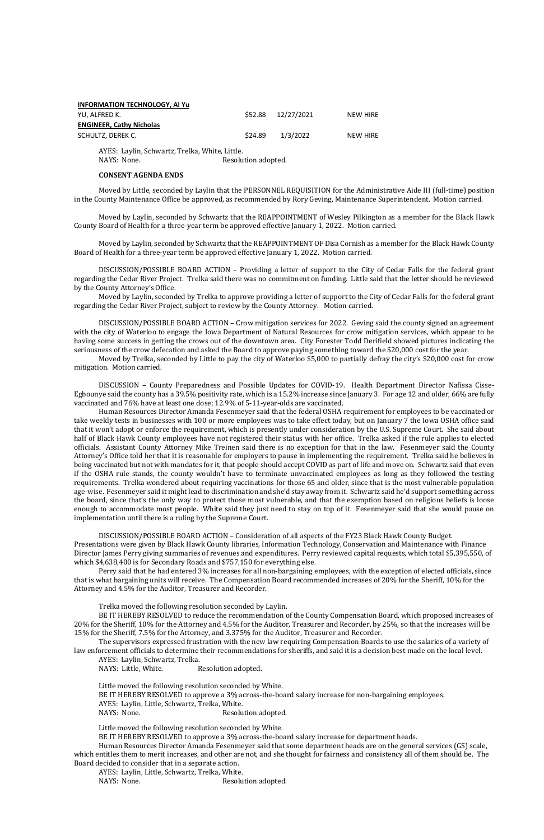| <b>INFORMATION TECHNOLOGY, AI Yu</b> |         |                    |                 |
|--------------------------------------|---------|--------------------|-----------------|
| YU, ALFRED K.                        |         | \$52.88 12/27/2021 | <b>NEW HIRE</b> |
| <b>ENGINEER, Cathy Nicholas</b>      |         |                    |                 |
| SCHULTZ, DEREK C.                    | \$24.89 | 1/3/2022           | <b>NEW HIRE</b> |
|                                      |         |                    |                 |

AYES: Laylin, Schwartz, Trelka, White, Little. NAYS: None. Resolution adopted.

#### **CONSENT AGENDA ENDS**

Moved by Little, seconded by Laylin that the PERSONNEL REQUISITION for the Administrative Aide III (full-time) position in the County Maintenance Office be approved, as recommended by Rory Geving, Maintenance Superintendent. Motion carried.

Moved by Laylin, seconded by Schwartz that the REAPPOINTMENT of Wesley Pilkington as a member for the Black Hawk County Board of Health for a three-year term be approved effective January 1, 2022. Motion carried.

Moved by Laylin, seconded by Schwartz that the REAPPOINTMENT OF Disa Cornish as a member for the Black Hawk County Board of Health for a three-year term be approved effective January 1, 2022. Motion carried.

DISCUSSION/POSSIBLE BOARD ACTION – Providing a letter of support to the City of Cedar Falls for the federal grant regarding the Cedar River Project. Trelka said there was no commitment on funding. Little said that the letter should be reviewed by the County Attorney's Office.

Moved by Laylin, seconded by Trelka to approve providing a letter of support to the City of Cedar Falls for the federal grant regarding the Cedar River Project, subject to review by the County Attorney. Motion carried.

DISCUSSION/POSSIBLE BOARD ACTION – Crow mitigation services for 2022. Geving said the county signed an agreement with the city of Waterloo to engage the Iowa Department of Natural Resources for crow mitigation services, which appear to be having some success in getting the crows out of the downtown area. City Forester Todd Derifield showed pictures indicating the seriousness of the crow defecation and asked the Board to approve paying something toward the \$20,000 cost for the year.

Moved by Trelka, seconded by Little to pay the city of Waterloo \$5,000 to partially defray the city's \$20,000 cost for crow mitigation. Motion carried.

DISCUSSION – County Preparedness and Possible Updates for COVID-19. Health Department Director Nafissa Cisse-Egbounye said the county has a 39.5% positivity rate, which is a 15.2% increase since January 3. For age 12 and older, 66% are fully vaccinated and 76% have at least one dose; 12.9% of 5-11-year-olds are vaccinated.

Human Resources Director Amanda Fesenmeyer said that the federal OSHA requirement for employees to be vaccinated or take weekly tests in businesses with 100 or more employees was to take effect today, but on January 7 the Iowa OSHA office said that it won't adopt or enforce the requirement, which is presently under consideration by the U.S. Supreme Court. She said about half of Black Hawk County employees have not registered their status with her office. Trelka asked if the rule applies to elected officials. Assistant County Attorney Mike Treinen said there is no exception for that in the law. Fesenmeyer said the County Attorney's Office told her that it is reasonable for employers to pause in implementing the requirement. Trelka said he believes in being vaccinated but not with mandates for it, that people should accept COVID as part of life and move on. Schwartz said that even if the OSHA rule stands, the county wouldn't have to terminate unvaccinated employees as long as they followed the testing requirements. Trelka wondered about requiring vaccinations for those 65 and older, since that is the most vulnerable population age-wise. Fesenmeyer said it might lead to discrimination and she'd stay away from it. Schwartz said he'd support something across the board, since that's the only way to protect those most vulnerable, and that the exemption based on religious beliefs is loose enough to accommodate most people. White said they just need to stay on top of it. Fesenmeyer said that she would pause on implementation until there is a ruling by the Supreme Court.

DISCUSSION/POSSIBLE BOARD ACTION – Consideration of all aspects of the FY23 Black Hawk County Budget.

Presentations were given by Black Hawk County libraries, Information Technology, Conservation and Maintenance with Finance Director James Perry giving summaries of revenues and expenditures. Perry reviewed capital requests, which total \$5,395,550, of which \$4,638,400 is for Secondary Roads and \$757,150 for everything else.

Perry said that he had entered 3% increases for all non-bargaining employees, with the exception of elected officials, since that is what bargaining units will receive. The Compensation Board recommended increases of 20% for the Sheriff, 10% for the Attorney and 4.5% for the Auditor, Treasurer and Recorder.

Trelka moved the following resolution seconded by Laylin.

BE IT HEREBY RESOLVED to reduce the recommendation of the County Compensation Board, which proposed increases of

20% for the Sheriff, 10% for the Attorney and 4.5% for the Auditor, Treasurer and Recorder, by 25%, so that the increases will be 15% for the Sheriff, 7.5% for the Attorney, and 3.375% for the Auditor, Treasurer and Recorder.

The supervisors expressed frustration with the new law requiring Compensation Boards to use the salaries of a variety of law enforcement officials to determine their recommendations for sheriffs, and said it is a decision best made on the local level.

AYES: Laylin, Schwartz, Trelka.

NAYS: Little, White. Resolution adopted.

Little moved the following resolution seconded by White.

BE IT HEREBY RESOLVED to approve a 3% across-the-board salary increase for non-bargaining employees. AYES: Laylin, Little, Schwartz, Trelka, White.

NAYS: None. Resolution adopted.

Little moved the following resolution seconded by White.

BE IT HEREBY RESOLVED to approve a 3% across-the-board salary increase for department heads.

Human Resources Director Amanda Fesenmeyer said that some department heads are on the general services (GS) scale, which entitles them to merit increases, and other are not, and she thought for fairness and consistency all of them should be. The Board decided to consider that in a separate action.

AYES: Laylin, Little, Schwartz, Trelka, White.

NAYS: None. The resolution adopted.